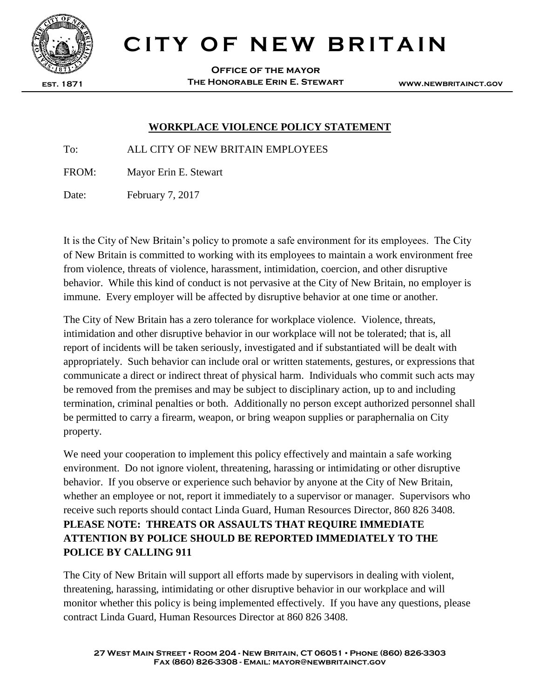

# **CITY OF NEW BRITAIN**

**Office of the mayor The Honorable Erin E. Stewart**

**www.newbritainct.gov**

#### **WORKPLACE VIOLENCE POLICY STATEMENT**

To: ALL CITY OF NEW BRITAIN EMPLOYEES

FROM: Mayor Erin E. Stewart

Date: February 7, 2017

It is the City of New Britain's policy to promote a safe environment for its employees. The City of New Britain is committed to working with its employees to maintain a work environment free from violence, threats of violence, harassment, intimidation, coercion, and other disruptive behavior. While this kind of conduct is not pervasive at the City of New Britain, no employer is immune. Every employer will be affected by disruptive behavior at one time or another.

The City of New Britain has a zero tolerance for workplace violence. Violence, threats, intimidation and other disruptive behavior in our workplace will not be tolerated; that is, all report of incidents will be taken seriously, investigated and if substantiated will be dealt with appropriately. Such behavior can include oral or written statements, gestures, or expressions that communicate a direct or indirect threat of physical harm. Individuals who commit such acts may be removed from the premises and may be subject to disciplinary action, up to and including termination, criminal penalties or both. Additionally no person except authorized personnel shall be permitted to carry a firearm, weapon, or bring weapon supplies or paraphernalia on City property.

We need your cooperation to implement this policy effectively and maintain a safe working environment. Do not ignore violent, threatening, harassing or intimidating or other disruptive behavior. If you observe or experience such behavior by anyone at the City of New Britain, whether an employee or not, report it immediately to a supervisor or manager. Supervisors who receive such reports should contact Linda Guard, Human Resources Director, 860 826 3408. **PLEASE NOTE: THREATS OR ASSAULTS THAT REQUIRE IMMEDIATE ATTENTION BY POLICE SHOULD BE REPORTED IMMEDIATELY TO THE POLICE BY CALLING 911**

The City of New Britain will support all efforts made by supervisors in dealing with violent, threatening, harassing, intimidating or other disruptive behavior in our workplace and will monitor whether this policy is being implemented effectively. If you have any questions, please contract Linda Guard, Human Resources Director at 860 826 3408.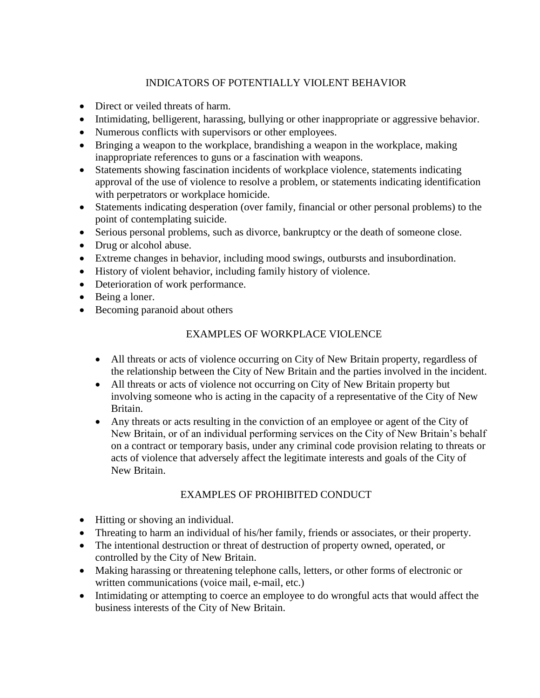# INDICATORS OF POTENTIALLY VIOLENT BEHAVIOR

- Direct or veiled threats of harm.
- Intimidating, belligerent, harassing, bullying or other inappropriate or aggressive behavior.
- Numerous conflicts with supervisors or other employees.
- Bringing a weapon to the workplace, brandishing a weapon in the workplace, making inappropriate references to guns or a fascination with weapons.
- Statements showing fascination incidents of workplace violence, statements indicating approval of the use of violence to resolve a problem, or statements indicating identification with perpetrators or workplace homicide.
- Statements indicating desperation (over family, financial or other personal problems) to the point of contemplating suicide.
- Serious personal problems, such as divorce, bankruptcy or the death of someone close.
- Drug or alcohol abuse.
- Extreme changes in behavior, including mood swings, outbursts and insubordination.
- History of violent behavior, including family history of violence.
- Deterioration of work performance.
- Being a loner.
- Becoming paranoid about others

## EXAMPLES OF WORKPLACE VIOLENCE

- All threats or acts of violence occurring on City of New Britain property, regardless of the relationship between the City of New Britain and the parties involved in the incident.
- All threats or acts of violence not occurring on City of New Britain property but involving someone who is acting in the capacity of a representative of the City of New Britain.
- Any threats or acts resulting in the conviction of an employee or agent of the City of New Britain, or of an individual performing services on the City of New Britain's behalf on a contract or temporary basis, under any criminal code provision relating to threats or acts of violence that adversely affect the legitimate interests and goals of the City of New Britain.

# EXAMPLES OF PROHIBITED CONDUCT

- Hitting or shoving an individual.
- Threating to harm an individual of his/her family, friends or associates, or their property.
- The intentional destruction or threat of destruction of property owned, operated, or controlled by the City of New Britain.
- Making harassing or threatening telephone calls, letters, or other forms of electronic or written communications (voice mail, e-mail, etc.)
- Intimidating or attempting to coerce an employee to do wrongful acts that would affect the business interests of the City of New Britain.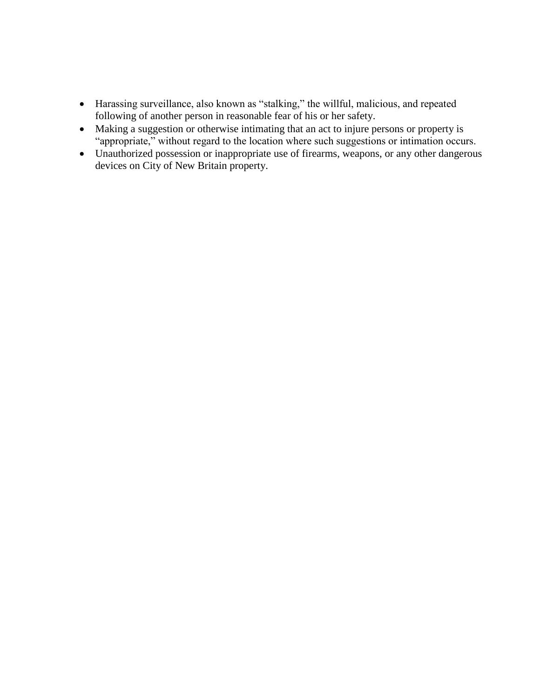- Harassing surveillance, also known as "stalking," the willful, malicious, and repeated following of another person in reasonable fear of his or her safety.
- Making a suggestion or otherwise intimating that an act to injure persons or property is "appropriate," without regard to the location where such suggestions or intimation occurs.
- Unauthorized possession or inappropriate use of firearms, weapons, or any other dangerous devices on City of New Britain property.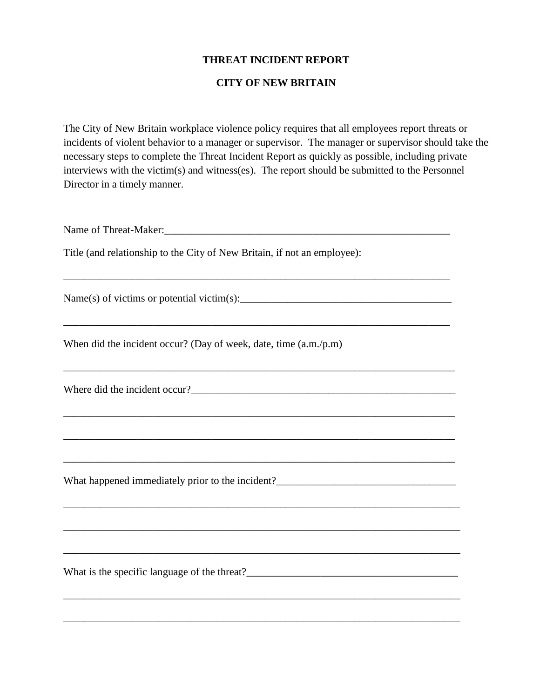### **THREAT INCIDENT REPORT**

#### **CITY OF NEW BRITAIN**

The City of New Britain workplace violence policy requires that all employees report threats or incidents of violent behavior to a manager or supervisor. The manager or supervisor should take the necessary steps to complete the Threat Incident Report as quickly as possible, including private interviews with the victim(s) and witness(es). The report should be submitted to the Personnel Director in a timely manner.

Name of Threat-Maker:\_\_\_\_\_\_\_\_\_\_\_\_\_\_\_\_\_\_\_\_\_\_\_\_\_\_\_\_\_\_\_\_\_\_\_\_\_\_\_\_\_\_\_\_\_\_\_\_\_\_\_\_\_\_

\_\_\_\_\_\_\_\_\_\_\_\_\_\_\_\_\_\_\_\_\_\_\_\_\_\_\_\_\_\_\_\_\_\_\_\_\_\_\_\_\_\_\_\_\_\_\_\_\_\_\_\_\_\_\_\_\_\_\_\_\_\_\_\_\_\_\_\_\_\_\_\_\_

\_\_\_\_\_\_\_\_\_\_\_\_\_\_\_\_\_\_\_\_\_\_\_\_\_\_\_\_\_\_\_\_\_\_\_\_\_\_\_\_\_\_\_\_\_\_\_\_\_\_\_\_\_\_\_\_\_\_\_\_\_\_\_\_\_\_\_\_\_\_\_\_\_

\_\_\_\_\_\_\_\_\_\_\_\_\_\_\_\_\_\_\_\_\_\_\_\_\_\_\_\_\_\_\_\_\_\_\_\_\_\_\_\_\_\_\_\_\_\_\_\_\_\_\_\_\_\_\_\_\_\_\_\_\_\_\_\_\_\_\_\_\_\_\_\_\_\_

\_\_\_\_\_\_\_\_\_\_\_\_\_\_\_\_\_\_\_\_\_\_\_\_\_\_\_\_\_\_\_\_\_\_\_\_\_\_\_\_\_\_\_\_\_\_\_\_\_\_\_\_\_\_\_\_\_\_\_\_\_\_\_\_\_\_\_\_\_\_\_\_\_\_

\_\_\_\_\_\_\_\_\_\_\_\_\_\_\_\_\_\_\_\_\_\_\_\_\_\_\_\_\_\_\_\_\_\_\_\_\_\_\_\_\_\_\_\_\_\_\_\_\_\_\_\_\_\_\_\_\_\_\_\_\_\_\_\_\_\_\_\_\_\_\_\_\_\_\_

\_\_\_\_\_\_\_\_\_\_\_\_\_\_\_\_\_\_\_\_\_\_\_\_\_\_\_\_\_\_\_\_\_\_\_\_\_\_\_\_\_\_\_\_\_\_\_\_\_\_\_\_\_\_\_\_\_\_\_\_\_\_\_\_\_\_\_\_\_\_\_\_\_\_\_

\_\_\_\_\_\_\_\_\_\_\_\_\_\_\_\_\_\_\_\_\_\_\_\_\_\_\_\_\_\_\_\_\_\_\_\_\_\_\_\_\_\_\_\_\_\_\_\_\_\_\_\_\_\_\_\_\_\_\_\_\_\_\_\_\_\_\_\_\_\_\_\_\_\_\_

\_\_\_\_\_\_\_\_\_\_\_\_\_\_\_\_\_\_\_\_\_\_\_\_\_\_\_\_\_\_\_\_\_\_\_\_\_\_\_\_\_\_\_\_\_\_\_\_\_\_\_\_\_\_\_\_\_\_\_\_\_\_\_\_\_\_\_\_\_\_\_\_\_\_\_

\_\_\_\_\_\_\_\_\_\_\_\_\_\_\_\_\_\_\_\_\_\_\_\_\_\_\_\_\_\_\_\_\_\_\_\_\_\_\_\_\_\_\_\_\_\_\_\_\_\_\_\_\_\_\_\_\_\_\_\_\_\_\_\_\_\_\_\_\_\_\_\_\_\_\_

\_\_\_\_\_\_\_\_\_\_\_\_\_\_\_\_\_\_\_\_\_\_\_\_\_\_\_\_\_\_\_\_\_\_\_\_\_\_\_\_\_\_\_\_\_\_\_\_\_\_\_\_\_\_\_\_\_\_\_\_\_\_\_\_\_\_\_\_\_\_\_\_\_\_

Title (and relationship to the City of New Britain, if not an employee):

 $Name(s)$  of victims or potential victim(s): $\frac{1}{s}$ 

When did the incident occur? (Day of week, date, time (a.m./p.m)

Where did the incident occur?

What happened immediately prior to the incident?\_\_\_\_\_\_\_\_\_\_\_\_\_\_\_\_\_\_\_\_\_\_\_\_\_\_\_\_\_\_\_\_

What is the specific language of the threat?\_\_\_\_\_\_\_\_\_\_\_\_\_\_\_\_\_\_\_\_\_\_\_\_\_\_\_\_\_\_\_\_\_\_\_\_\_\_\_\_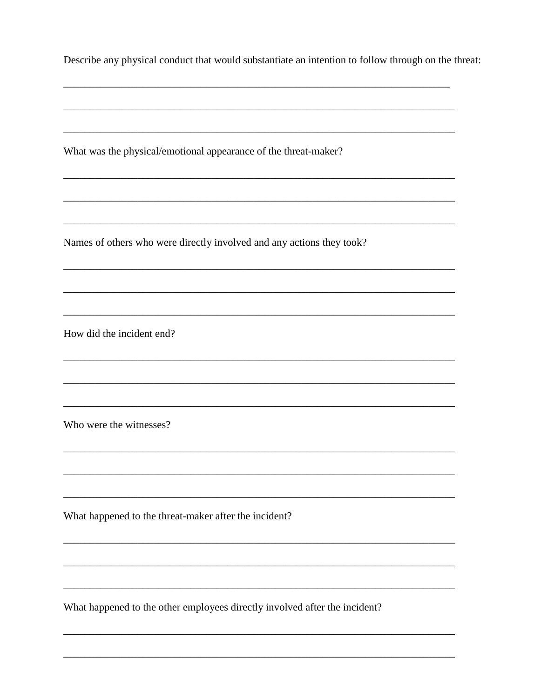|  |  |  |  |  | Describe any physical conduct that would substantiate an intention to follow through on the threat: |
|--|--|--|--|--|-----------------------------------------------------------------------------------------------------|
|--|--|--|--|--|-----------------------------------------------------------------------------------------------------|

What was the physical/emotional appearance of the threat-maker?

Names of others who were directly involved and any actions they took?

How did the incident end?

Who were the witnesses?

What happened to the threat-maker after the incident?

What happened to the other employees directly involved after the incident?